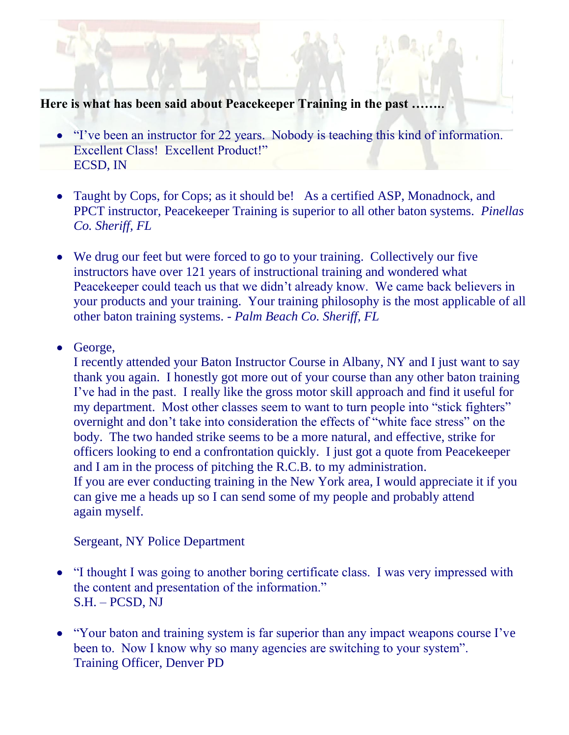**Here is what has been said about Peacekeeper Training in the past …….**.

- "I've been an instructor for 22 years. Nobody is teaching this kind of information. Excellent Class! Excellent Product!" ECSD, IN
- Taught by Cops, for Cops; as it should be! As a certified ASP, Monadnock, and PPCT instructor, Peacekeeper Training is superior to all other baton systems. *Pinellas Co. Sheriff, FL*
- We drug our feet but were forced to go to your training. Collectively our five instructors have over 121 years of instructional training and wondered what Peacekeeper could teach us that we didn't already know. We came back believers in your products and your training. Your training philosophy is the most applicable of all other baton training systems. - *Palm Beach Co. Sheriff, FL*
- George,

I recently attended your Baton Instructor Course in Albany, NY and I just want to say thank you again. I honestly got more out of your course than any other baton training I've had in the past. I really like the gross motor skill approach and find it useful for my department. Most other classes seem to want to turn people into "stick fighters" overnight and don't take into consideration the effects of "white face stress" on the body. The two handed strike seems to be a more natural, and effective, strike for officers looking to end a confrontation quickly. I just got a quote from Peacekeeper and I am in the process of pitching the R.C.B. to my administration. If you are ever conducting training in the New York area, I would appreciate it if you can give me a heads up so I can send some of my people and probably attend again myself.

Sergeant, NY Police Department

- "I thought I was going to another boring certificate class. I was very impressed with the content and presentation of the information." S.H. – PCSD, NJ
- "Your baton and training system is far superior than any impact weapons course I've  $\bullet$ been to. Now I know why so many agencies are switching to your system". Training Officer, Denver PD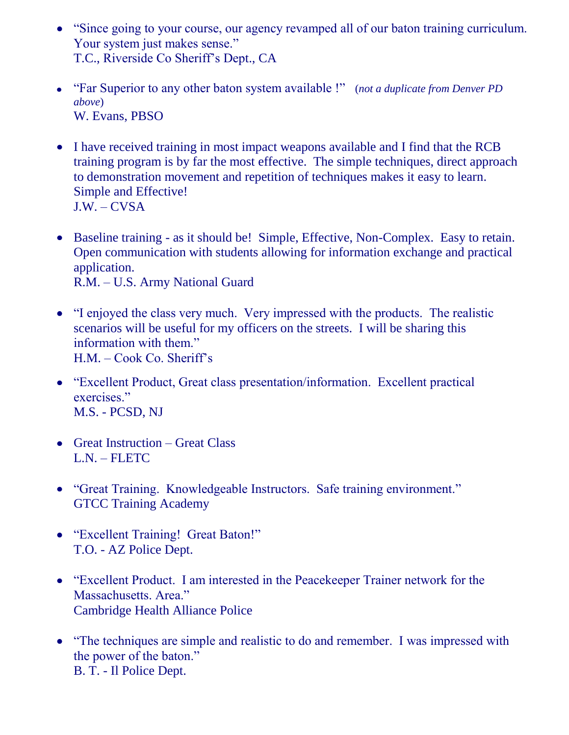- "Since going to your course, our agency revamped all of our baton training curriculum. Your system just makes sense." T.C., Riverside Co Sheriff's Dept., CA
- "Far Superior to any other baton system available !" (*not a duplicate from Denver PD above*) W. Evans, PBSO
- I have received training in most impact weapons available and I find that the RCB training program is by far the most effective. The simple techniques, direct approach to demonstration movement and repetition of techniques makes it easy to learn. Simple and Effective! J.W. – CVSA
- Baseline training as it should be! Simple, Effective, Non-Complex. Easy to retain. Open communication with students allowing for information exchange and practical application. R.M. – U.S. Army National Guard
- "I enjoyed the class very much. Very impressed with the products. The realistic scenarios will be useful for my officers on the streets. I will be sharing this information with them." H.M. – Cook Co. Sheriff's
- "Excellent Product, Great class presentation/information. Excellent practical exercises." M.S. - PCSD, NJ
- Great Instruction Great Class L.N. – FLETC
- "Great Training. Knowledgeable Instructors. Safe training environment." GTCC Training Academy
- "Excellent Training! Great Baton!" T.O. - AZ Police Dept.
- "Excellent Product. I am interested in the Peacekeeper Trainer network for the Massachusetts. Area." Cambridge Health Alliance Police
- "The techniques are simple and realistic to do and remember. I was impressed with the power of the baton." B. T. - Il Police Dept.